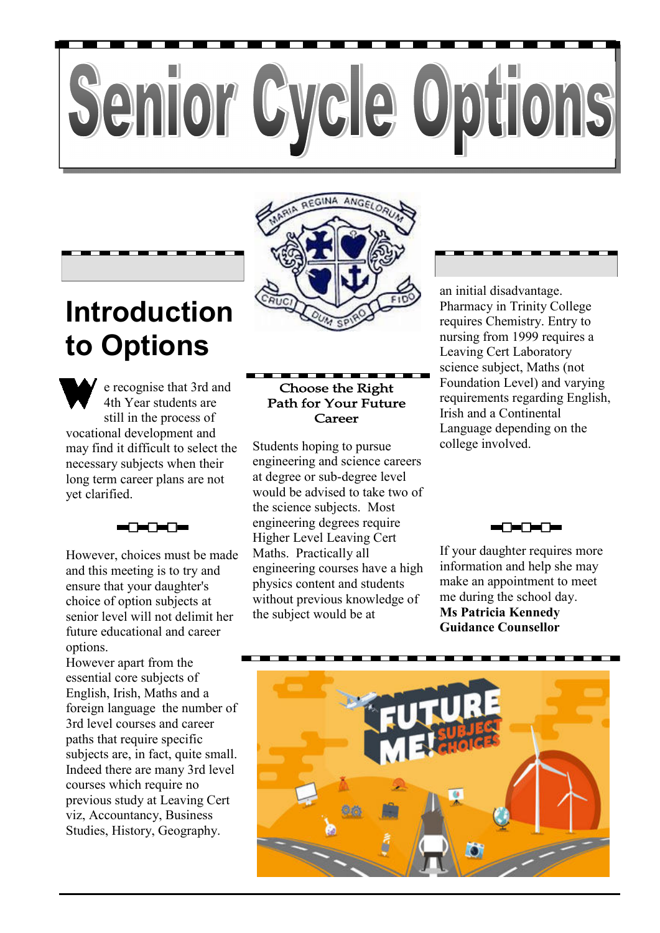# Senior Cycle Options



e recognise that 3rd and 4th Year students are still in the process of vocational development and may find it difficult to select the necessary subjects when their long term career plans are not yet clarified.

However, choices must be made and this meeting is to try and ensure that your daughter's choice of option subjects at senior level will not delimit her future educational and career options.

However apart from the essential core subjects of English, Irish, Maths and a foreign language the number of 3rd level courses and career paths that require specific subjects are, in fact, quite small. Indeed there are many 3rd level courses which require no previous study at Leaving Cert viz, Accountancy, Business Studies, History, Geography.

### **Choose the Right Path for Your Future** Career

Students hoping to pursue engineering and science careers at degree or sub-degree level would be advised to take two of the science subjects. Most engineering degrees require Higher Level Leaving Cert Maths. Practically all engineering courses have a high physics content and students without previous knowledge of the subject would be at

an initial disadvantage. Pharmacy in Trinity College requires Chemistry. Entry to nursing from 1999 requires a Leaving Cert Laboratory science subject, Maths (not Foundation Level) and varying requirements regarding English, Irish and a Continental Language depending on the college involved.



If your daughter requires more information and help she may make an appointment to meet me during the school day. **Ms Patricia Kennedy Guidance Counsellor** 

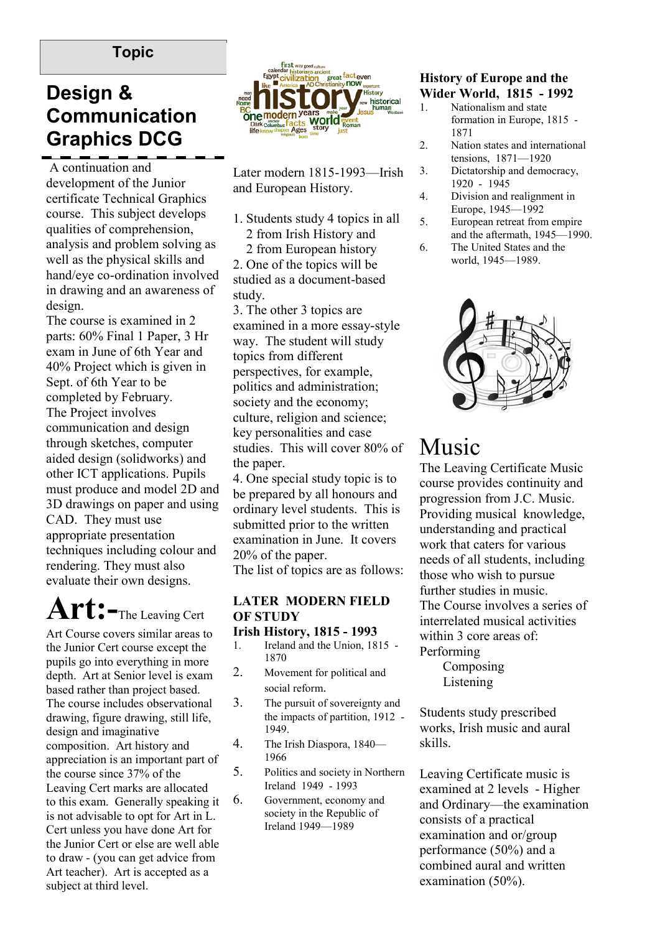### **Topic**

### **Design & Communication Graphics DCG**

 A continuation and development of the Junior certificate Technical Graphics course. This subject develops qualities of comprehension, analysis and problem solving as well as the physical skills and hand/eye co-ordination involved in drawing and an awareness of design.

The course is examined in 2 parts: 60% Final 1 Paper, 3 Hr exam in June of 6th Year and 40% Project which is given in Sept. of 6th Year to be completed by February. The Project involves communication and design through sketches, computer aided design (solidworks) and other ICT applications. Pupils must produce and model 2D and 3D drawings on paper and using CAD. They must use appropriate presentation techniques including colour and rendering. They must also evaluate their own designs.

# **Art:-**The Leaving Cert

Art Course covers similar areas to the Junior Cert course except the pupils go into everything in more depth. Art at Senior level is exam based rather than project based. The course includes observational drawing, figure drawing, still life, design and imaginative composition. Art history and appreciation is an important part of the course since 37% of the Leaving Cert marks are allocated to this exam. Generally speaking it is not advisable to opt for Art in L. Cert unless you have done Art for the Junior Cert or else are well able to draw - (you can get advice from Art teacher). Art is accepted as a subject at third level.



Later modern 1815-1993—Irish and European History.

- 1. Students study 4 topics in all 2 from Irish History and
- 2 from European history 2. One of the topics will be studied as a document-based study.

3. The other 3 topics are examined in a more essay-style way. The student will study topics from different perspectives, for example, politics and administration; society and the economy; culture, religion and science; key personalities and case studies. This will cover 80% of the paper.

4. One special study topic is to be prepared by all honours and ordinary level students. This is submitted prior to the written examination in June. It covers 20% of the paper.

The list of topics are as follows:

### **LATER MODERN FIELD OF STUDY**

#### **Irish History, 1815 - 1993**

- 1. Ireland and the Union, 1815 1870
- 2. Movement for political and social reform.
- 3. The pursuit of sovereignty and the impacts of partition, 1912 - 1949.
- 4. The Irish Diaspora, 1840— 1966
- 5. Politics and society in Northern Ireland 1949 - 1993
- 6. Government, economy and society in the Republic of Ireland 1949—1989

### **History of Europe and the Wider World, 1815 - 1992**

- 1. Nationalism and state formation in Europe, 1815 - 1871
- 2. Nation states and international tensions, 1871—1920
- 3. Dictatorship and democracy, 1920 - 1945
- 4. Division and realignment in Europe, 1945—1992
- 5. European retreat from empire and the aftermath, 1945—1990.
- 6. The United States and the world, 1945—1989.



# Music

The Leaving Certificate Music course provides continuity and progression from J.C. Music. Providing musical knowledge, understanding and practical work that caters for various needs of all students, including those who wish to pursue further studies in music. The Course involves a series of interrelated musical activities within 3 core areas of: Performing

> Composing Listening

Students study prescribed works, Irish music and aural skills.

Leaving Certificate music is examined at 2 levels - Higher and Ordinary—the examination consists of a practical examination and or/group performance (50%) and a combined aural and written examination (50%).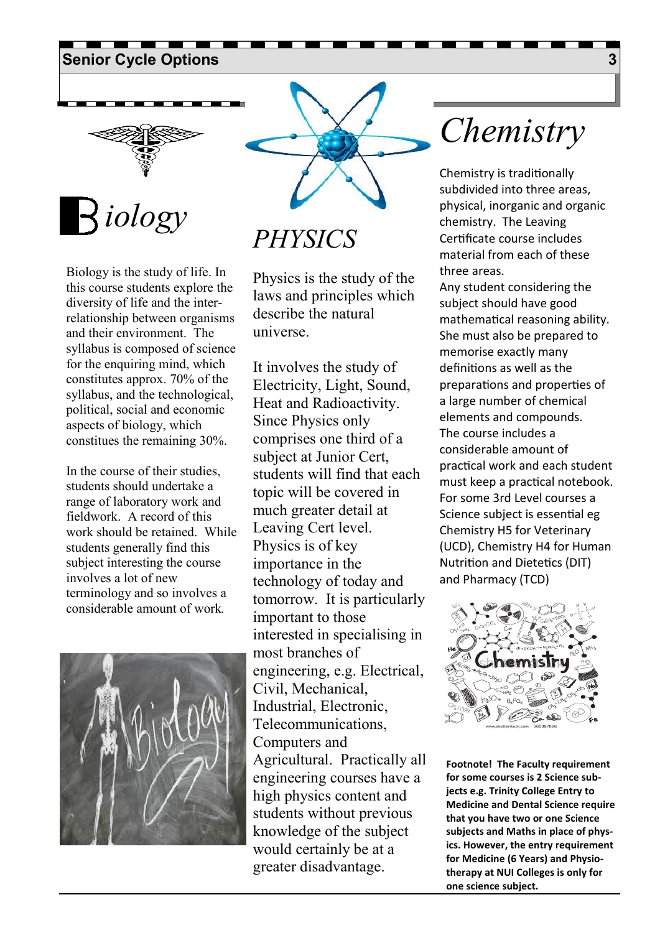## **Senior Cycle Options 3 3**



**Topic**  *iology* 

Biology is the study of life. In this course students explore the diversity of life and the interrelationship between organisms and their environment. The syllabus is composed of science for the enquiring mind, which constitutes approx. 70% of the syllabus, and the technological, political, social and economic aspects of biology, which constitues the remaining 30%.

In the course of their studies, students should undertake a range of laboratory work and fieldwork. A record of this work should be retained. While students generally find this subject interesting the course involves a lot of new terminology and so involves a considerable amount of work*.* 





*PHYSICS* 

Physics is the study of the laws and principles which describe the natural universe.

It involves the study of Electricity, Light, Sound, Heat and Radioactivity. Since Physics only comprises one third of a subject at Junior Cert, students will find that each topic will be covered in much greater detail at Leaving Cert level. Physics is of key importance in the technology of today and tomorrow. It is particularly important to those interested in specialising in most branches of engineering, e.g. Electrical, Civil, Mechanical, Industrial, Electronic, Telecommunications, Computers and Agricultural. Practically all engineering courses have a high physics content and students without previous knowledge of the subject would certainly be at a greater disadvantage.

# *Chemistry*

Chemistry is traditionally subdivided into three areas, physical, inorganic and organic chemistry. The Leaving Cer
ficate course includes material from each of these three areas.

Any student considering the subject should have good mathematical reasoning ability. She must also be prepared to memorise exactly many definitions as well as the preparations and properties of a large number of chemical elements and compounds. The course includes a considerable amount of prac
cal work and each student must keep a practical notebook. For some 3rd Level courses a Science subject is essential eg Chemistry H5 for Veterinary (UCD), Chemistry H4 for Human Nutrition and Dietetics (DIT) and Pharmacy (TCD)



**Footnote! The Faculty requirement for some courses is 2 Science subjects e.g. Trinity College Entry to Medicine and Dental Science require that you have two or one Science subjects and Maths in place of physics. However, the entry requirement for Medicine (6 Years) and Physiotherapy at NUI Colleges is only for one science subject.**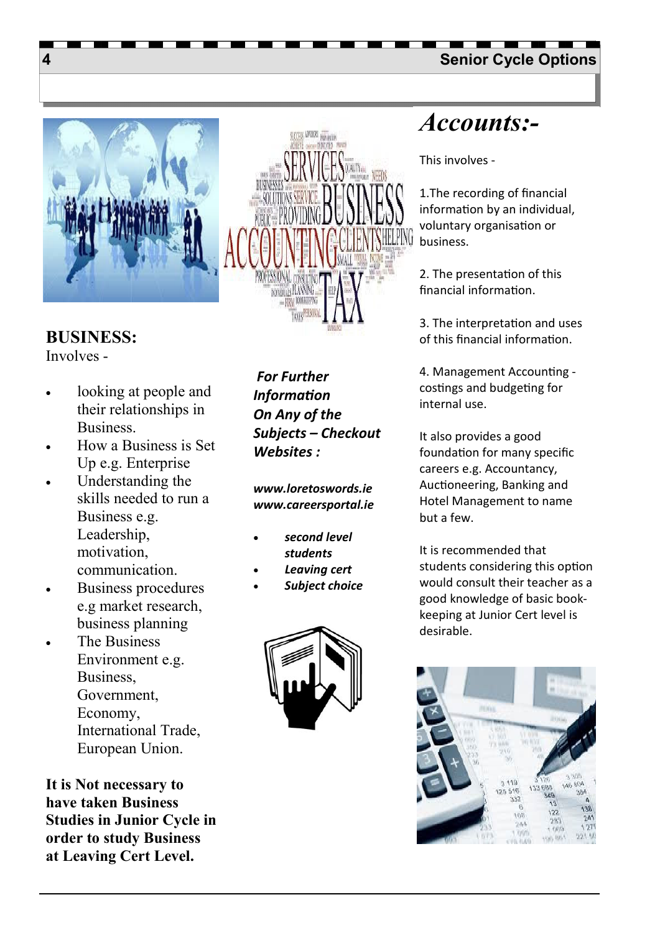### **4 Senior Cycle Options**





Involves -

- looking at people and their relationships in Business.
- How a Business is Set Up e.g. Enterprise
- Understanding the skills needed to run a Business e.g. Leadership, motivation, communication.
- Business procedures e.g market research, business planning
- The Business Environment e.g. Business, Government, Economy, International Trade, European Union.

**It is Not necessary to have taken Business Studies in Junior Cycle in order to study Business at Leaving Cert Level.** 

 *For Further Information On Any of the Subjects – Checkout Websites :* 

*www.loretoswords.ie www.careersportal.ie* 

- *second level students*
- *Leaving cert*
- *Subject choice*



# *Accounts:-*

This involves -

1.The recording of financial information by an individual, voluntary organisation or business.

2. The presentation of this financial information.

3. The interpretation and uses of this financial information.

4. Management Accoun
ng costings and budgeting for internal use.

It also provides a good foundation for many specific careers e.g. Accountancy, Auctioneering, Banking and Hotel Management to name but a few.

It is recommended that students considering this option would consult their teacher as a good knowledge of basic bookkeeping at Junior Cert level is desirable.

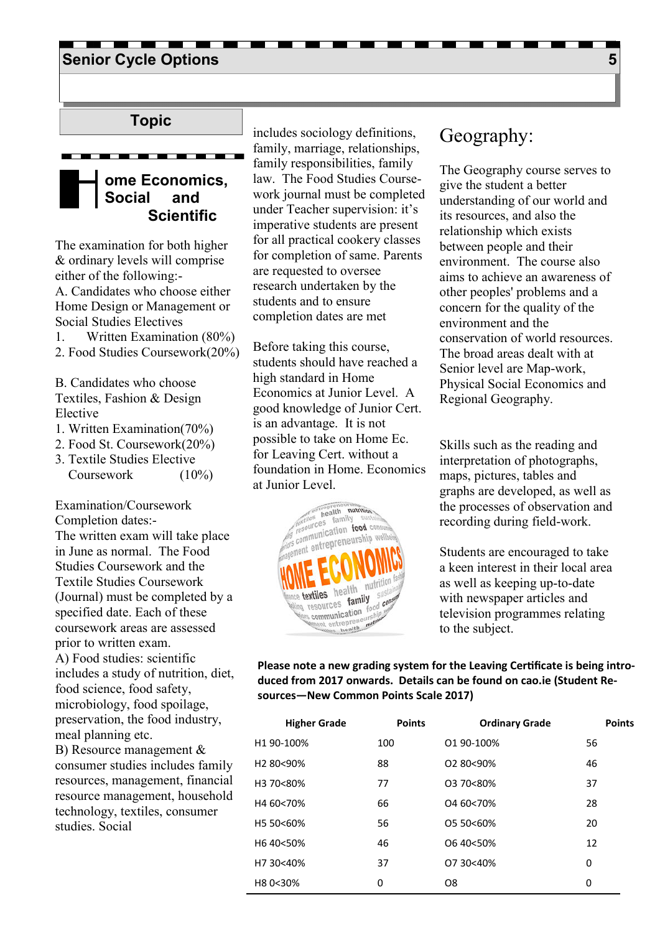### **Senior Cycle Options 5 and 200 million control of the Cycle Options 5 and 3 and 3 and 3 and 3 and 3 and 3 and 3 and 3 and 3 and 3 and 3 and 3 and 3 and 3 and 3 and 3 and 3 and 3 and 3 and 3 and 3 and 3 and 3 and 3 and 3 a**

### **Topic**

### **ome Economics, Social and Scientific**

The examination for both higher & ordinary levels will comprise either of the following:- A. Candidates who choose either Home Design or Management or Social Studies Electives

1. Written Examination (80%) 2. Food Studies Coursework(20%)

- B. Candidates who choose Textiles, Fashion & Design Elective
- 1. Written Examination(70%)
- 2. Food St. Coursework(20%)
- 3. Textile Studies Elective

Coursework (10%)

Examination/Coursework Completion dates:- The written exam will take place in June as normal. The Food Studies Coursework and the Textile Studies Coursework (Journal) must be completed by a specified date. Each of these coursework areas are assessed prior to written exam.

A) Food studies: scientific includes a study of nutrition, diet, food science, food safety, microbiology, food spoilage, preservation, the food industry, meal planning etc.

B) Resource management & consumer studies includes family resources, management, financial resource management, household technology, textiles, consumer studies. Social

includes sociology definitions, family, marriage, relationships, family responsibilities, family law. The Food Studies Coursework journal must be completed under Teacher supervision: it's imperative students are present for all practical cookery classes for completion of same. Parents are requested to oversee research undertaken by the students and to ensure completion dates are met

Before taking this course, students should have reached a high standard in Home Economics at Junior Level. A good knowledge of Junior Cert. is an advantage. It is not possible to take on Home Ec. for Leaving Cert. without a foundation in Home. Economics at Junior Level.



### Geography:

The Geography course serves to give the student a better understanding of our world and its resources, and also the relationship which exists between people and their environment. The course also aims to achieve an awareness of other peoples' problems and a concern for the quality of the environment and the conservation of world resources. The broad areas dealt with at Senior level are Map-work, Physical Social Economics and Regional Geography.

Skills such as the reading and interpretation of photographs, maps, pictures, tables and graphs are developed, as well as the processes of observation and recording during field-work.

Students are encouraged to take a keen interest in their local area as well as keeping up-to-date with newspaper articles and television programmes relating to the subject.

Please note a new grading system for the Leaving Certificate is being intro**duced from 2017 onwards. Details can be found on cao.ie (Student Resources—New Common Points Scale 2017)** 

| <b>Higher Grade</b>   | <b>Points</b> | <b>Ordinary Grade</b> | <b>Points</b> |
|-----------------------|---------------|-----------------------|---------------|
| H1 90-100%            | 100           | 01 90-100%            | 56            |
| H <sub>2</sub> 80<90% | 88            | 02 80<90%             | 46            |
| H3 70<80%             | 77            | 03 70<80%             | 37            |
| H4 60<70%             | 66            | O <sub>4</sub> 60<70% | 28            |
| H5 50<60%             | 56            | 05 50<60%             | 20            |
| H640<50%              | 46            | O6 40<50%             | 12            |
| H7 30<40%             | 37            | 07 30 <40%            | 0             |
| H80<30%               | 0             | O <sub>8</sub>        | 0             |